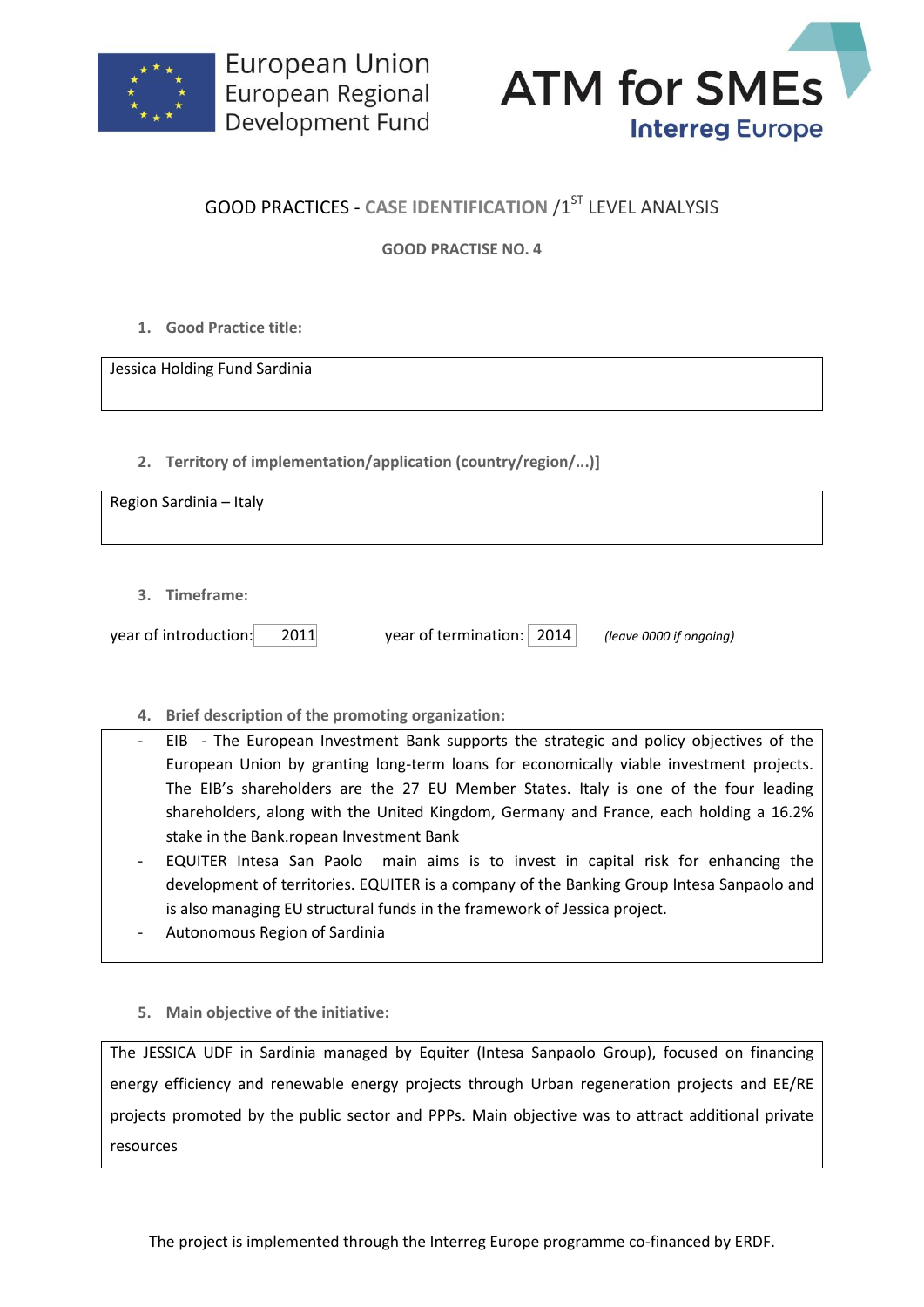



## **GOOD PRACTICES - CASE IDENTIFICATION /1ST LEVEL ANALYSIS**

**GOOD PRACTISE NO. 4**

**1. Good Practice title:**

Jessica Holding Fund Sardinia

**2. Territory of implementation/application (country/region/...)]**

Region Sardinia – Italy

**3. Timeframe:**

| year of introduction: | 2011 |  |
|-----------------------|------|--|
|                       |      |  |

year of termination: 2014 *(leave 0000 if ongoing)* 

- **4. Brief description of the promoting organization:**
- EIB The European Investment Bank supports the strategic and policy objectives of the European Union by granting long-term loans for economically viable investment projects. The EIB's shareholders are the 27 EU Member States. Italy is one of the four leading shareholders, along with the United Kingdom, Germany and France, each holding a 16.2% stake in the Bank.ropean Investment Bank
- EQUITER Intesa San Paolo main aims is to invest in capital risk for enhancing the development of territories. EQUITER is a company of the Banking Group Intesa Sanpaolo and is also managing EU structural funds in the framework of Jessica project.
- Autonomous Region of Sardinia
- **5. Main objective of the initiative:**

The JESSICA UDF in Sardinia managed by Equiter (Intesa Sanpaolo Group), focused on financing energy efficiency and renewable energy projects through Urban regeneration projects and EE/RE projects promoted by the public sector and PPPs. Main objective was to attract additional private resources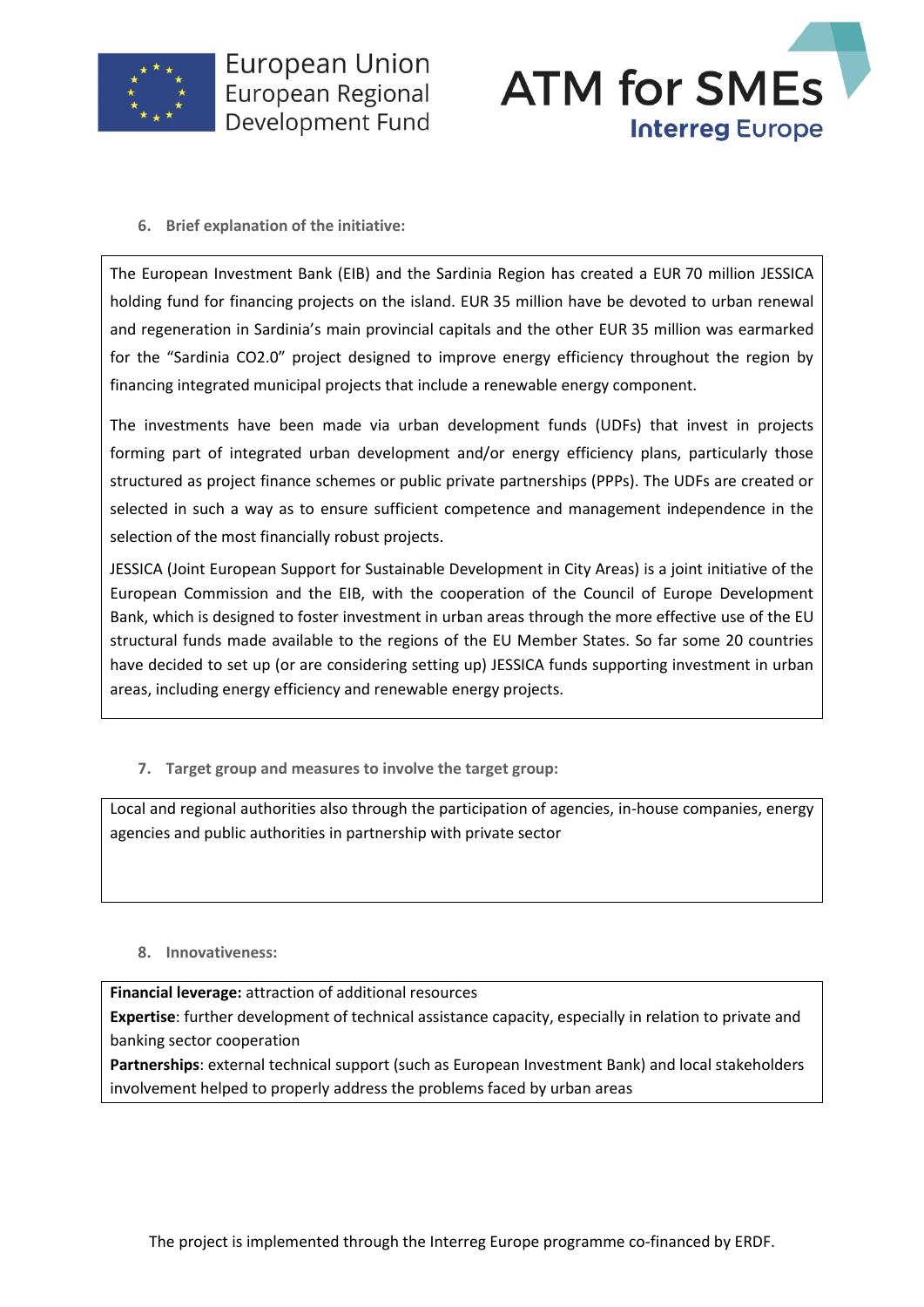

**European Union** European Regional Development Fund



**6. Brief explanation of the initiative:**

The European Investment Bank (EIB) and the Sardinia Region has created a EUR 70 million JESSICA holding fund for financing projects on the island. EUR 35 million have be devoted to urban renewal and regeneration in Sardinia's main provincial capitals and the other EUR 35 million was earmarked for the "Sardinia CO2.0" project designed to improve energy efficiency throughout the region by financing integrated municipal projects that include a renewable energy component.

The investments have been made via urban development funds (UDFs) that invest in projects forming part of integrated urban development and/or energy efficiency plans, particularly those structured as project finance schemes or public private partnerships (PPPs). The UDFs are created or selected in such a way as to ensure sufficient competence and management independence in the selection of the most financially robust projects.

JESSICA (Joint European Support for Sustainable Development in City Areas) is a joint initiative of the European Commission and the EIB, with the cooperation of the Council of Europe Development Bank, which is designed to foster investment in urban areas through the more effective use of the EU structural funds made available to the regions of the EU Member States. So far some 20 countries have decided to set up (or are considering setting up) JESSICA funds supporting investment in urban areas, including energy efficiency and renewable energy projects.

**7. Target group and measures to involve the target group:**

Local and regional authorities also through the participation of agencies, in-house companies, energy agencies and public authorities in partnership with private sector

**8. Innovativeness:**

**Financial leverage:** attraction of additional resources

 **Expertise**: further development of technical assistance capacity, especially in relation to private and banking sector cooperation

 **Partnerships**: external technical support (such as European Investment Bank) and local stakeholders involvement helped to properly address the problems faced by urban areas